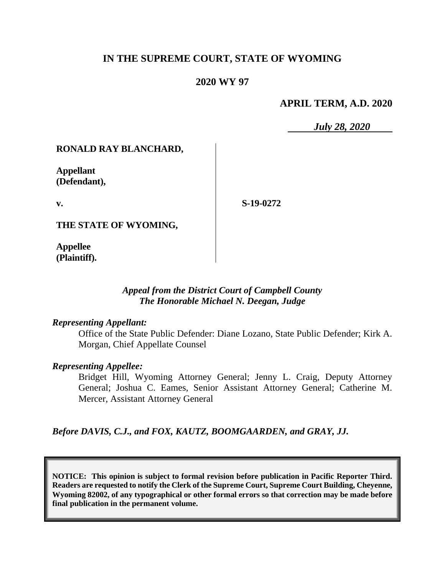# **IN THE SUPREME COURT, STATE OF WYOMING**

# **2020 WY 97**

### **APRIL TERM, A.D. 2020**

*July 28, 2020*

### **RONALD RAY BLANCHARD,**

**Appellant (Defendant),**

**v.**

**S-19-0272**

**THE STATE OF WYOMING,**

**Appellee (Plaintiff).**

### *Appeal from the District Court of Campbell County The Honorable Michael N. Deegan, Judge*

#### *Representing Appellant:*

Office of the State Public Defender: Diane Lozano, State Public Defender; Kirk A. Morgan, Chief Appellate Counsel

### *Representing Appellee:*

Bridget Hill, Wyoming Attorney General; Jenny L. Craig, Deputy Attorney General; Joshua C. Eames, Senior Assistant Attorney General; Catherine M. Mercer, Assistant Attorney General

*Before DAVIS, C.J., and FOX, KAUTZ, BOOMGAARDEN, and GRAY, JJ.*

**NOTICE: This opinion is subject to formal revision before publication in Pacific Reporter Third. Readers are requested to notify the Clerk of the Supreme Court, Supreme Court Building, Cheyenne, Wyoming 82002, of any typographical or other formal errors so that correction may be made before final publication in the permanent volume.**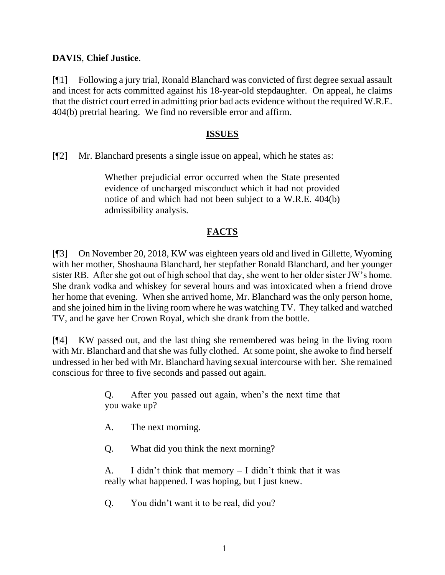# **DAVIS**, **Chief Justice**.

[¶1] Following a jury trial, Ronald Blanchard was convicted of first degree sexual assault and incest for acts committed against his 18-year-old stepdaughter. On appeal, he claims that the district court erred in admitting prior bad acts evidence without the required W.R.E. 404(b) pretrial hearing. We find no reversible error and affirm.

# **ISSUES**

[¶2] Mr. Blanchard presents a single issue on appeal, which he states as:

Whether prejudicial error occurred when the State presented evidence of uncharged misconduct which it had not provided notice of and which had not been subject to a W.R.E. 404(b) admissibility analysis.

# **FACTS**

[¶3] On November 20, 2018, KW was eighteen years old and lived in Gillette, Wyoming with her mother, Shoshauna Blanchard, her stepfather Ronald Blanchard, and her younger sister RB. After she got out of high school that day, she went to her older sister JW's home. She drank vodka and whiskey for several hours and was intoxicated when a friend drove her home that evening. When she arrived home, Mr. Blanchard was the only person home, and she joined him in the living room where he was watching TV. They talked and watched TV, and he gave her Crown Royal, which she drank from the bottle.

[¶4] KW passed out, and the last thing she remembered was being in the living room with Mr. Blanchard and that she was fully clothed. At some point, she awoke to find herself undressed in her bed with Mr. Blanchard having sexual intercourse with her. She remained conscious for three to five seconds and passed out again.

> Q. After you passed out again, when's the next time that you wake up?

A. The next morning.

Q. What did you think the next morning?

A. I didn't think that memory – I didn't think that it was really what happened. I was hoping, but I just knew.

Q. You didn't want it to be real, did you?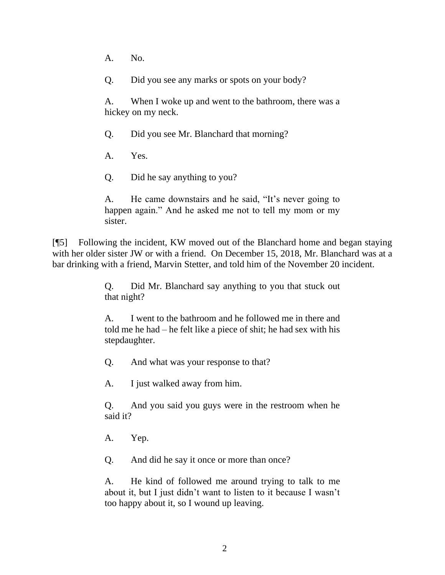A. No.

Q. Did you see any marks or spots on your body?

A. When I woke up and went to the bathroom, there was a hickey on my neck.

Q. Did you see Mr. Blanchard that morning?

A. Yes.

Q. Did he say anything to you?

A. He came downstairs and he said, "It's never going to happen again." And he asked me not to tell my mom or my sister.

[¶5] Following the incident, KW moved out of the Blanchard home and began staying with her older sister JW or with a friend. On December 15, 2018, Mr. Blanchard was at a bar drinking with a friend, Marvin Stetter, and told him of the November 20 incident.

> Q. Did Mr. Blanchard say anything to you that stuck out that night?

> A. I went to the bathroom and he followed me in there and told me he had – he felt like a piece of shit; he had sex with his stepdaughter.

Q. And what was your response to that?

A. I just walked away from him.

Q. And you said you guys were in the restroom when he said it?

A. Yep.

Q. And did he say it once or more than once?

A. He kind of followed me around trying to talk to me about it, but I just didn't want to listen to it because I wasn't too happy about it, so I wound up leaving.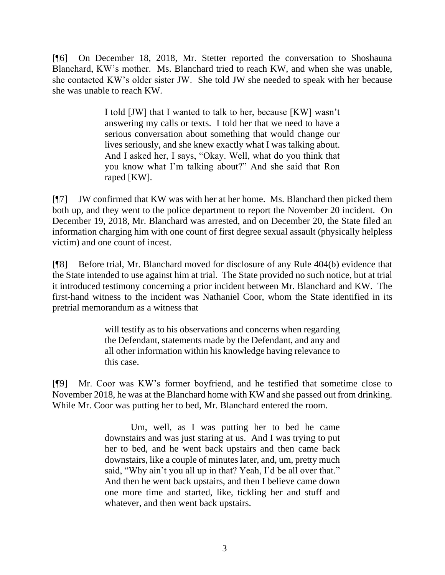[¶6] On December 18, 2018, Mr. Stetter reported the conversation to Shoshauna Blanchard, KW's mother. Ms. Blanchard tried to reach KW, and when she was unable, she contacted KW's older sister JW. She told JW she needed to speak with her because she was unable to reach KW.

> I told [JW] that I wanted to talk to her, because [KW] wasn't answering my calls or texts. I told her that we need to have a serious conversation about something that would change our lives seriously, and she knew exactly what I was talking about. And I asked her, I says, "Okay. Well, what do you think that you know what I'm talking about?" And she said that Ron raped [KW].

[¶7] JW confirmed that KW was with her at her home. Ms. Blanchard then picked them both up, and they went to the police department to report the November 20 incident. On December 19, 2018, Mr. Blanchard was arrested, and on December 20, the State filed an information charging him with one count of first degree sexual assault (physically helpless victim) and one count of incest.

[¶8] Before trial, Mr. Blanchard moved for disclosure of any Rule 404(b) evidence that the State intended to use against him at trial. The State provided no such notice, but at trial it introduced testimony concerning a prior incident between Mr. Blanchard and KW. The first-hand witness to the incident was Nathaniel Coor, whom the State identified in its pretrial memorandum as a witness that

> will testify as to his observations and concerns when regarding the Defendant, statements made by the Defendant, and any and all other information within his knowledge having relevance to this case.

[¶9] Mr. Coor was KW's former boyfriend, and he testified that sometime close to November 2018, he was at the Blanchard home with KW and she passed out from drinking. While Mr. Coor was putting her to bed, Mr. Blanchard entered the room.

> Um, well, as I was putting her to bed he came downstairs and was just staring at us. And I was trying to put her to bed, and he went back upstairs and then came back downstairs, like a couple of minutes later, and, um, pretty much said, "Why ain't you all up in that? Yeah, I'd be all over that." And then he went back upstairs, and then I believe came down one more time and started, like, tickling her and stuff and whatever, and then went back upstairs.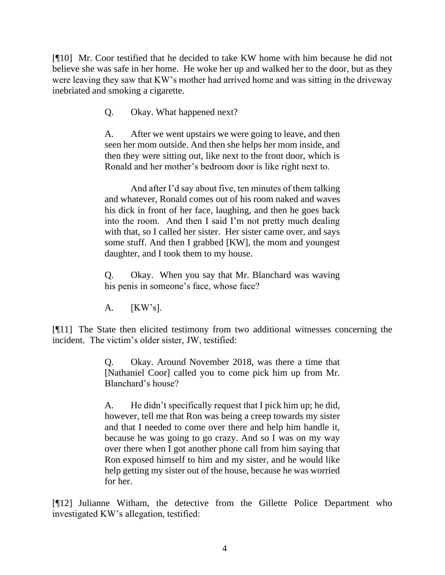[¶10] Mr. Coor testified that he decided to take KW home with him because he did not believe she was safe in her home. He woke her up and walked her to the door, but as they were leaving they saw that KW's mother had arrived home and was sitting in the driveway inebriated and smoking a cigarette.

Q. Okay. What happened next?

A. After we went upstairs we were going to leave, and then seen her mom outside. And then she helps her mom inside, and then they were sitting out, like next to the front door, which is Ronald and her mother's bedroom door is like right next to.

And after I'd say about five, ten minutes of them talking and whatever, Ronald comes out of his room naked and waves his dick in front of her face, laughing, and then he goes back into the room. And then I said I'm not pretty much dealing with that, so I called her sister. Her sister came over, and says some stuff. And then I grabbed [KW], the mom and youngest daughter, and I took them to my house.

Q. Okay. When you say that Mr. Blanchard was waving his penis in someone's face, whose face?

A. [KW's].

[¶11] The State then elicited testimony from two additional witnesses concerning the incident. The victim's older sister, JW, testified:

> Q. Okay. Around November 2018, was there a time that [Nathaniel Coor] called you to come pick him up from Mr. Blanchard's house?

> A. He didn't specifically request that I pick him up; he did, however, tell me that Ron was being a creep towards my sister and that I needed to come over there and help him handle it, because he was going to go crazy. And so I was on my way over there when I got another phone call from him saying that Ron exposed himself to him and my sister, and he would like help getting my sister out of the house, because he was worried for her.

[¶12] Julianne Witham, the detective from the Gillette Police Department who investigated KW's allegation, testified: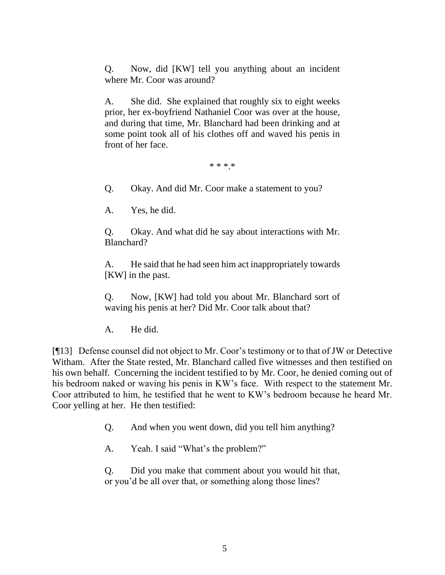Q. Now, did [KW] tell you anything about an incident where Mr. Coor was around?

A. She did. She explained that roughly six to eight weeks prior, her ex-boyfriend Nathaniel Coor was over at the house, and during that time, Mr. Blanchard had been drinking and at some point took all of his clothes off and waved his penis in front of her face.

\* \* \*.\*

Q. Okay. And did Mr. Coor make a statement to you?

A. Yes, he did.

Q. Okay. And what did he say about interactions with Mr. Blanchard?

A. He said that he had seen him act inappropriately towards [KW] in the past.

Q. Now, [KW] had told you about Mr. Blanchard sort of waving his penis at her? Did Mr. Coor talk about that?

A. He did.

[¶13] Defense counsel did not object to Mr. Coor's testimony or to that of JW or Detective Witham. After the State rested, Mr. Blanchard called five witnesses and then testified on his own behalf. Concerning the incident testified to by Mr. Coor, he denied coming out of his bedroom naked or waving his penis in KW's face. With respect to the statement Mr. Coor attributed to him, he testified that he went to KW's bedroom because he heard Mr. Coor yelling at her. He then testified:

Q. And when you went down, did you tell him anything?

A. Yeah. I said "What's the problem?"

Q. Did you make that comment about you would hit that, or you'd be all over that, or something along those lines?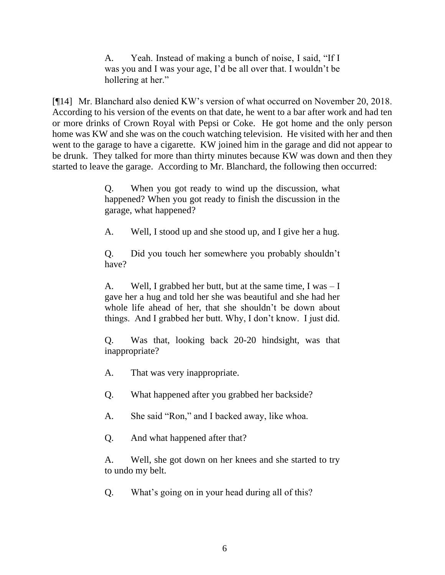A. Yeah. Instead of making a bunch of noise, I said, "If I was you and I was your age, I'd be all over that. I wouldn't be hollering at her."

[¶14] Mr. Blanchard also denied KW's version of what occurred on November 20, 2018. According to his version of the events on that date, he went to a bar after work and had ten or more drinks of Crown Royal with Pepsi or Coke. He got home and the only person home was KW and she was on the couch watching television. He visited with her and then went to the garage to have a cigarette. KW joined him in the garage and did not appear to be drunk. They talked for more than thirty minutes because KW was down and then they started to leave the garage. According to Mr. Blanchard, the following then occurred:

> Q. When you got ready to wind up the discussion, what happened? When you got ready to finish the discussion in the garage, what happened?

> A. Well, I stood up and she stood up, and I give her a hug.

Q. Did you touch her somewhere you probably shouldn't have?

A. Well, I grabbed her butt, but at the same time, I was – I gave her a hug and told her she was beautiful and she had her whole life ahead of her, that she shouldn't be down about things. And I grabbed her butt. Why, I don't know. I just did.

Q. Was that, looking back 20-20 hindsight, was that inappropriate?

A. That was very inappropriate.

Q. What happened after you grabbed her backside?

A. She said "Ron," and I backed away, like whoa.

Q. And what happened after that?

A. Well, she got down on her knees and she started to try to undo my belt.

Q. What's going on in your head during all of this?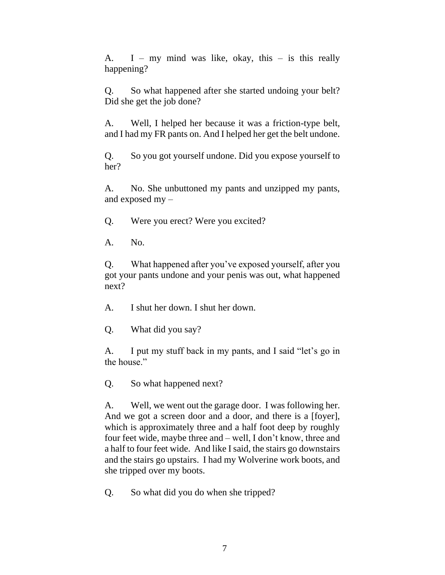A. I – my mind was like, okay, this – is this really happening?

Q. So what happened after she started undoing your belt? Did she get the job done?

A. Well, I helped her because it was a friction-type belt, and I had my FR pants on. And I helped her get the belt undone.

Q. So you got yourself undone. Did you expose yourself to her?

A. No. She unbuttoned my pants and unzipped my pants, and exposed my –

Q. Were you erect? Were you excited?

A. No.

Q. What happened after you've exposed yourself, after you got your pants undone and your penis was out, what happened next?

A. I shut her down. I shut her down.

Q. What did you say?

A. I put my stuff back in my pants, and I said "let's go in the house."

Q. So what happened next?

A. Well, we went out the garage door. I was following her. And we got a screen door and a door, and there is a [foyer], which is approximately three and a half foot deep by roughly four feet wide, maybe three and – well, I don't know, three and a half to four feet wide. And like I said, the stairs go downstairs and the stairs go upstairs. I had my Wolverine work boots, and she tripped over my boots.

Q. So what did you do when she tripped?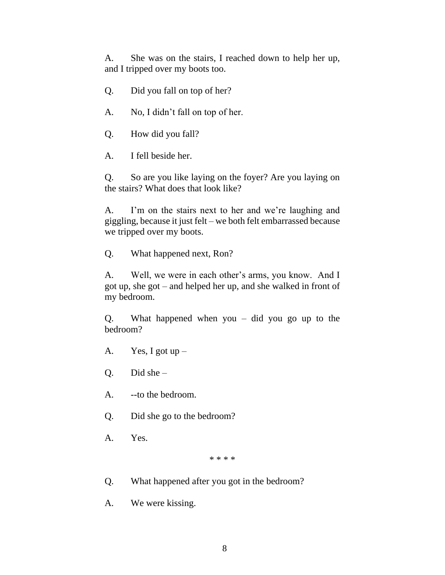A. She was on the stairs, I reached down to help her up, and I tripped over my boots too.

- Q. Did you fall on top of her?
- A. No, I didn't fall on top of her.
- Q. How did you fall?
- A. I fell beside her.

Q. So are you like laying on the foyer? Are you laying on the stairs? What does that look like?

A. I'm on the stairs next to her and we're laughing and giggling, because it just felt – we both felt embarrassed because we tripped over my boots.

Q. What happened next, Ron?

A. Well, we were in each other's arms, you know. And I got up, she got – and helped her up, and she walked in front of my bedroom.

Q. What happened when you – did you go up to the bedroom?

- A. Yes, I got  $up -$
- Q. Did she –
- A. --to the bedroom.
- Q. Did she go to the bedroom?
- A. Yes.

#### \* \* \* \*

- Q. What happened after you got in the bedroom?
- A. We were kissing.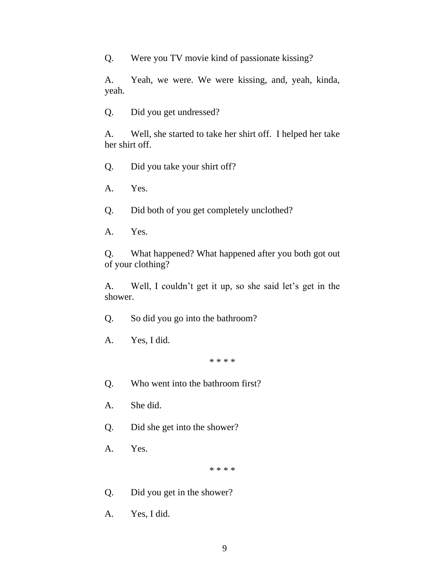Q. Were you TV movie kind of passionate kissing?

A. Yeah, we were. We were kissing, and, yeah, kinda, yeah.

Q. Did you get undressed?

A. Well, she started to take her shirt off. I helped her take her shirt off.

Q. Did you take your shirt off?

A. Yes.

Q. Did both of you get completely unclothed?

A. Yes.

Q. What happened? What happened after you both got out of your clothing?

A. Well, I couldn't get it up, so she said let's get in the shower.

Q. So did you go into the bathroom?

A. Yes, I did.

\* \* \* \*

Q. Who went into the bathroom first?

A. She did.

Q. Did she get into the shower?

A. Yes.

\* \* \* \*

Q. Did you get in the shower?

A. Yes, I did.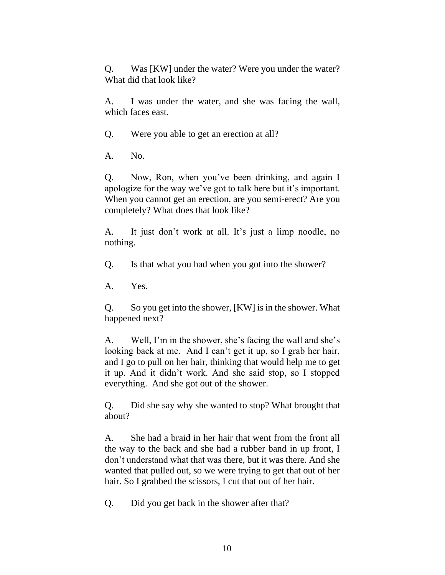Q. Was [KW] under the water? Were you under the water? What did that look like?

A. I was under the water, and she was facing the wall, which faces east.

Q. Were you able to get an erection at all?

A. No.

Q. Now, Ron, when you've been drinking, and again I apologize for the way we've got to talk here but it's important. When you cannot get an erection, are you semi-erect? Are you completely? What does that look like?

A. It just don't work at all. It's just a limp noodle, no nothing.

Q. Is that what you had when you got into the shower?

A. Yes.

Q. So you get into the shower, [KW] is in the shower. What happened next?

A. Well, I'm in the shower, she's facing the wall and she's looking back at me. And I can't get it up, so I grab her hair, and I go to pull on her hair, thinking that would help me to get it up. And it didn't work. And she said stop, so I stopped everything. And she got out of the shower.

Q. Did she say why she wanted to stop? What brought that about?

A. She had a braid in her hair that went from the front all the way to the back and she had a rubber band in up front, I don't understand what that was there, but it was there. And she wanted that pulled out, so we were trying to get that out of her hair. So I grabbed the scissors, I cut that out of her hair.

Q. Did you get back in the shower after that?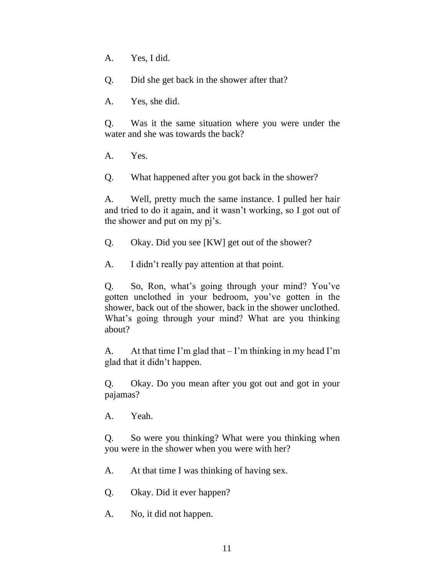A. Yes, I did.

Q. Did she get back in the shower after that?

A. Yes, she did.

Q. Was it the same situation where you were under the water and she was towards the back?

A. Yes.

Q. What happened after you got back in the shower?

A. Well, pretty much the same instance. I pulled her hair and tried to do it again, and it wasn't working, so I got out of the shower and put on my pj's.

Q. Okay. Did you see [KW] get out of the shower?

A. I didn't really pay attention at that point.

Q. So, Ron, what's going through your mind? You've gotten unclothed in your bedroom, you've gotten in the shower, back out of the shower, back in the shower unclothed. What's going through your mind? What are you thinking about?

A. At that time I'm glad that  $-$  I'm thinking in my head I'm glad that it didn't happen.

Q. Okay. Do you mean after you got out and got in your pajamas?

A. Yeah.

Q. So were you thinking? What were you thinking when you were in the shower when you were with her?

A. At that time I was thinking of having sex.

Q. Okay. Did it ever happen?

A. No, it did not happen.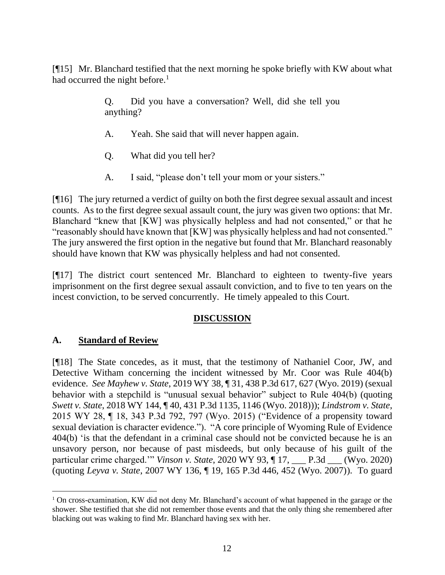[¶15] Mr. Blanchard testified that the next morning he spoke briefly with KW about what had occurred the night before.<sup>1</sup>

> Q. Did you have a conversation? Well, did she tell you anything?

- A. Yeah. She said that will never happen again.
- Q. What did you tell her?
- A. I said, "please don't tell your mom or your sisters."

[¶16] The jury returned a verdict of guilty on both the first degree sexual assault and incest counts. As to the first degree sexual assault count, the jury was given two options: that Mr. Blanchard "knew that [KW] was physically helpless and had not consented," or that he "reasonably should have known that [KW] was physically helpless and had not consented." The jury answered the first option in the negative but found that Mr. Blanchard reasonably should have known that KW was physically helpless and had not consented.

[¶17] The district court sentenced Mr. Blanchard to eighteen to twenty-five years imprisonment on the first degree sexual assault conviction, and to five to ten years on the incest conviction, to be served concurrently. He timely appealed to this Court.

# **DISCUSSION**

# **A. Standard of Review**

[¶18] The State concedes, as it must, that the testimony of Nathaniel Coor, JW, and Detective Witham concerning the incident witnessed by Mr. Coor was Rule 404(b) evidence. *See Mayhew v. State*, 2019 WY 38, ¶ 31, 438 P.3d 617, 627 (Wyo. 2019) (sexual behavior with a stepchild is "unusual sexual behavior" subject to Rule 404(b) (quoting *Swett v. State*, 2018 WY 144, ¶ 40, 431 P.3d 1135, 1146 (Wyo. 2018))); *Lindstrom v. State*, 2015 WY 28, ¶ 18, 343 P.3d 792, 797 (Wyo. 2015) ("Evidence of a propensity toward sexual deviation is character evidence."). "A core principle of Wyoming Rule of Evidence 404(b) 'is that the defendant in a criminal case should not be convicted because he is an unsavory person, nor because of past misdeeds, but only because of his guilt of the particular crime charged.'" *Vinson v. State*, 2020 WY 93, ¶ 17, \_\_\_ P.3d \_\_\_ (Wyo. 2020) (quoting *Leyva v. State*, 2007 WY 136, ¶ 19, 165 P.3d 446, 452 (Wyo. 2007)). To guard

<sup>1</sup> On cross-examination, KW did not deny Mr. Blanchard's account of what happened in the garage or the shower. She testified that she did not remember those events and that the only thing she remembered after blacking out was waking to find Mr. Blanchard having sex with her.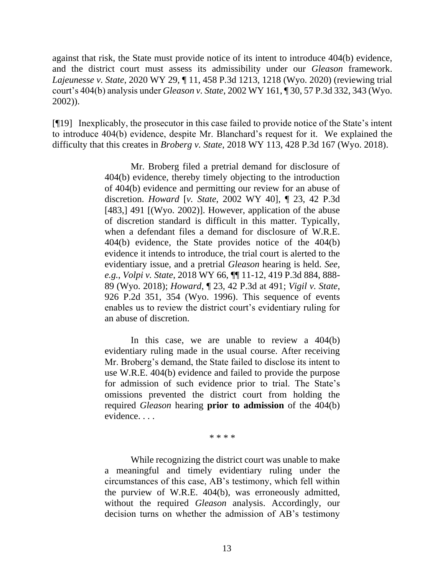against that risk, the State must provide notice of its intent to introduce 404(b) evidence, and the district court must assess its admissibility under our *Gleason* framework. *Lajeunesse v. State*, 2020 WY 29, ¶ 11, 458 P.3d 1213, 1218 (Wyo. 2020) (reviewing trial court's 404(b) analysis under *Gleason v. State*[, 2002 WY 161, ¶ 30, 57 P.3d 332, 343 \(Wyo.](http://www.westlaw.com/Link/Document/FullText?findType=Y&serNum=2002676236&pubNum=0004645&originatingDoc=Id61b9d705db111ea8872c8d7408e2a84&refType=RP&fi=co_pp_sp_4645_343&originationContext=document&vr=3.0&rs=cblt1.0&transitionType=DocumentItem&contextData=(sc.Keycite)#co_pp_sp_4645_343)  [2002\)\)](http://www.westlaw.com/Link/Document/FullText?findType=Y&serNum=2002676236&pubNum=0004645&originatingDoc=Id61b9d705db111ea8872c8d7408e2a84&refType=RP&fi=co_pp_sp_4645_343&originationContext=document&vr=3.0&rs=cblt1.0&transitionType=DocumentItem&contextData=(sc.Keycite)#co_pp_sp_4645_343).

[¶19] Inexplicably, the prosecutor in this case failed to provide notice of the State's intent to introduce 404(b) evidence, despite Mr. Blanchard's request for it. We explained the difficulty that this creates in *Broberg v. State*, 2018 WY 113, 428 P.3d 167 (Wyo. 2018).

> Mr. Broberg filed a pretrial demand for disclosure of 404(b) evidence, thereby timely objecting to the introduction of 404(b) evidence and permitting our review for an abuse of discretion. *Howard* [*v. State*, 2002 WY 40], ¶ 23, 42 P.3d [483,] 491 [(Wyo. 2002)]. However, application of the abuse of discretion standard is difficult in this matter. Typically, when a defendant files a demand for disclosure of [W.R.E.](http://www.westlaw.com/Link/Document/FullText?findType=L&pubNum=1008789&cite=WYRREVR404&originatingDoc=If005fdb0c5bf11e8b1cdeab7e1f6f07a&refType=LQ&originationContext=document&vr=3.0&rs=cblt1.0&transitionType=DocumentItem&contextData=(sc.UserEnteredCitation))  [404\(b\)](http://www.westlaw.com/Link/Document/FullText?findType=L&pubNum=1008789&cite=WYRREVR404&originatingDoc=If005fdb0c5bf11e8b1cdeab7e1f6f07a&refType=LQ&originationContext=document&vr=3.0&rs=cblt1.0&transitionType=DocumentItem&contextData=(sc.UserEnteredCitation)) evidence, the State provides notice of the 404(b) evidence it intends to introduce, the trial court is alerted to the evidentiary issue, and a pretrial *[Gleason](http://www.westlaw.com/Link/Document/FullText?findType=Y&serNum=2002676236&pubNum=0004645&originatingDoc=If005fdb0c5bf11e8b1cdeab7e1f6f07a&refType=RP&originationContext=document&vr=3.0&rs=cblt1.0&transitionType=DocumentItem&contextData=(sc.UserEnteredCitation))* hearing is held. *See, e.g.*, *Volpi v. State*[, 2018 WY 66, ¶¶ 11-12, 419 P.3d 884, 888-](http://www.westlaw.com/Link/Document/FullText?findType=Y&serNum=2044743605&pubNum=0004645&originatingDoc=If005fdb0c5bf11e8b1cdeab7e1f6f07a&refType=RP&fi=co_pp_sp_4645_888&originationContext=document&vr=3.0&rs=cblt1.0&transitionType=DocumentItem&contextData=(sc.UserEnteredCitation)#co_pp_sp_4645_888) [89 \(Wyo. 2018\);](http://www.westlaw.com/Link/Document/FullText?findType=Y&serNum=2044743605&pubNum=0004645&originatingDoc=If005fdb0c5bf11e8b1cdeab7e1f6f07a&refType=RP&fi=co_pp_sp_4645_888&originationContext=document&vr=3.0&rs=cblt1.0&transitionType=DocumentItem&contextData=(sc.UserEnteredCitation)#co_pp_sp_4645_888) *Howard*[, ¶ 23, 42 P.3d at 491;](http://www.westlaw.com/Link/Document/FullText?findType=Y&serNum=2002180320&pubNum=0004645&originatingDoc=If005fdb0c5bf11e8b1cdeab7e1f6f07a&refType=RP&fi=co_pp_sp_4645_491&originationContext=document&vr=3.0&rs=cblt1.0&transitionType=DocumentItem&contextData=(sc.UserEnteredCitation)#co_pp_sp_4645_491) *[Vigil v. State](http://www.westlaw.com/Link/Document/FullText?findType=Y&serNum=1996231137&pubNum=0000661&originatingDoc=If005fdb0c5bf11e8b1cdeab7e1f6f07a&refType=RP&fi=co_pp_sp_661_354&originationContext=document&vr=3.0&rs=cblt1.0&transitionType=DocumentItem&contextData=(sc.UserEnteredCitation)#co_pp_sp_661_354)*, [926 P.2d 351, 354 \(Wyo. 1996\).](http://www.westlaw.com/Link/Document/FullText?findType=Y&serNum=1996231137&pubNum=0000661&originatingDoc=If005fdb0c5bf11e8b1cdeab7e1f6f07a&refType=RP&fi=co_pp_sp_661_354&originationContext=document&vr=3.0&rs=cblt1.0&transitionType=DocumentItem&contextData=(sc.UserEnteredCitation)#co_pp_sp_661_354) This sequence of events enables us to review the district court's evidentiary ruling for an abuse of discretion.

> In this case, we are unable to review a  $404(b)$ evidentiary ruling made in the usual course. After receiving Mr. Broberg's demand, the State failed to disclose its intent to use [W.R.E. 404\(b\)](http://www.westlaw.com/Link/Document/FullText?findType=L&pubNum=1008789&cite=WYRREVR404&originatingDoc=If005fdb0c5bf11e8b1cdeab7e1f6f07a&refType=LQ&originationContext=document&vr=3.0&rs=cblt1.0&transitionType=DocumentItem&contextData=(sc.UserEnteredCitation)) evidence and failed to provide the purpose for admission of such evidence prior to trial. The State's omissions prevented the district court from holding the required *[Gleason](http://www.westlaw.com/Link/Document/FullText?findType=Y&serNum=2002676236&pubNum=0004645&originatingDoc=If005fdb0c5bf11e8b1cdeab7e1f6f07a&refType=RP&originationContext=document&vr=3.0&rs=cblt1.0&transitionType=DocumentItem&contextData=(sc.UserEnteredCitation))* hearing **prior to admission** of the 404(b) evidence. . . .

> > \* \* \* \*

While recognizing the district court was unable to make a meaningful and timely evidentiary ruling under the circumstances of this case, AB's testimony, which fell within the purview of [W.R.E. 404\(b\),](http://www.westlaw.com/Link/Document/FullText?findType=L&pubNum=1008789&cite=WYRREVR404&originatingDoc=If005fdb0c5bf11e8b1cdeab7e1f6f07a&refType=LQ&originationContext=document&vr=3.0&rs=cblt1.0&transitionType=DocumentItem&contextData=(sc.UserEnteredCitation)) was erroneously admitted, without the required *[Gleason](http://www.westlaw.com/Link/Document/FullText?findType=Y&serNum=2002676236&pubNum=0004645&originatingDoc=If005fdb0c5bf11e8b1cdeab7e1f6f07a&refType=RP&originationContext=document&vr=3.0&rs=cblt1.0&transitionType=DocumentItem&contextData=(sc.UserEnteredCitation))* analysis. Accordingly, our decision turns on whether the admission of AB's testimony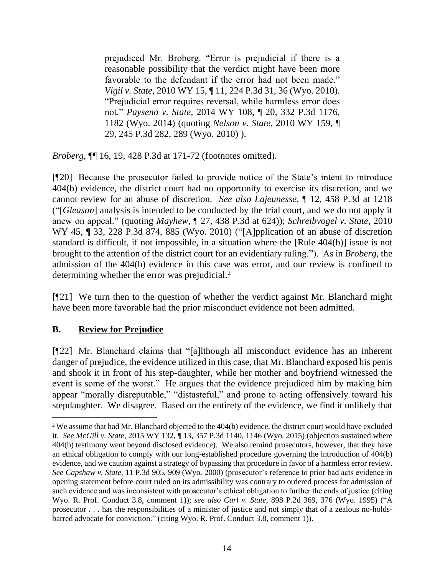prejudiced Mr. Broberg. "Error is prejudicial if there is a reasonable possibility that the verdict might have been more favorable to the defendant if the error had not been made." *Vigil v. State*[, 2010 WY 15, ¶ 11, 224 P.3d 31, 36 \(Wyo. 2010\).](http://www.westlaw.com/Link/Document/FullText?findType=Y&serNum=2021353438&pubNum=0004645&originatingDoc=If005fdb0c5bf11e8b1cdeab7e1f6f07a&refType=RP&fi=co_pp_sp_4645_36&originationContext=document&vr=3.0&rs=cblt1.0&transitionType=DocumentItem&contextData=(sc.UserEnteredCitation)#co_pp_sp_4645_36) "Prejudicial error requires reversal, while harmless error does not." *Payseno v. State*[, 2014 WY 108, ¶ 20, 332 P.3d 1176,](http://www.westlaw.com/Link/Document/FullText?findType=Y&serNum=2034236761&pubNum=0004645&originatingDoc=If005fdb0c5bf11e8b1cdeab7e1f6f07a&refType=RP&fi=co_pp_sp_4645_1182&originationContext=document&vr=3.0&rs=cblt1.0&transitionType=DocumentItem&contextData=(sc.UserEnteredCitation)#co_pp_sp_4645_1182)  [1182 \(Wyo. 2014\)](http://www.westlaw.com/Link/Document/FullText?findType=Y&serNum=2034236761&pubNum=0004645&originatingDoc=If005fdb0c5bf11e8b1cdeab7e1f6f07a&refType=RP&fi=co_pp_sp_4645_1182&originationContext=document&vr=3.0&rs=cblt1.0&transitionType=DocumentItem&contextData=(sc.UserEnteredCitation)#co_pp_sp_4645_1182) (quoting *Nelson v. State*[, 2010 WY 159, ¶](http://www.westlaw.com/Link/Document/FullText?findType=Y&serNum=2023973578&pubNum=0004645&originatingDoc=If005fdb0c5bf11e8b1cdeab7e1f6f07a&refType=RP&fi=co_pp_sp_4645_289&originationContext=document&vr=3.0&rs=cblt1.0&transitionType=DocumentItem&contextData=(sc.UserEnteredCitation)#co_pp_sp_4645_289)  [29, 245 P.3d 282, 289 \(Wyo. 2010\)](http://www.westlaw.com/Link/Document/FullText?findType=Y&serNum=2023973578&pubNum=0004645&originatingDoc=If005fdb0c5bf11e8b1cdeab7e1f6f07a&refType=RP&fi=co_pp_sp_4645_289&originationContext=document&vr=3.0&rs=cblt1.0&transitionType=DocumentItem&contextData=(sc.UserEnteredCitation)#co_pp_sp_4645_289) ).

*Broberg*, ¶¶ 16, 19, 428 P.3d at 171-72 (footnotes omitted).

[¶20] Because the prosecutor failed to provide notice of the State's intent to introduce 404(b) evidence, the district court had no opportunity to exercise its discretion, and we cannot review for an abuse of discretion. *See also Lajeunesse*, ¶ 12, 458 P.3d at 1218 ("[*Gleason*] analysis is intended to be conducted by the trial court, and we do not apply it anew on appeal." (quoting *Mayhew*, ¶ 27, 438 P.3d at 624)); *Schreibvogel v. State*, 2010 WY 45, ¶ 33, 228 P.3d 874, 885 (Wyo. 2010) ("[A]pplication of an abuse of discretion standard is difficult, if not impossible, in a situation where the [Rule 404(b)] issue is not brought to the attention of the district court for an evidentiary ruling."). As in *Broberg*, the admission of the 404(b) evidence in this case was error, and our review is confined to determining whether the error was prejudicial.<sup>2</sup>

[¶21] We turn then to the question of whether the verdict against Mr. Blanchard might have been more favorable had the prior misconduct evidence not been admitted.

# **B. Review for Prejudice**

[¶22] Mr. Blanchard claims that "[a]lthough all misconduct evidence has an inherent danger of prejudice, the evidence utilized in this case, that Mr. Blanchard exposed his penis and shook it in front of his step-daughter, while her mother and boyfriend witnessed the event is some of the worst." He argues that the evidence prejudiced him by making him appear "morally disreputable," "distasteful," and prone to acting offensively toward his stepdaughter. We disagree. Based on the entirety of the evidence, we find it unlikely that

<sup>&</sup>lt;sup>2</sup> We assume that had Mr. Blanchard objected to the 404(b) evidence, the district court would have excluded it. *See McGill v. State*, 2015 WY 132, ¶ 13, 357 P.3d 1140, 1146 (Wyo. 2015) (objection sustained where 404(b) testimony went beyond disclosed evidence). We also remind prosecutors, however, that they have an ethical obligation to comply with our long-established procedure governing the introduction of 404(b) evidence, and we caution against a strategy of bypassing that procedure in favor of a harmless error review. *See Capshaw v. State*, 11 P.3d 905, 909 (Wyo. 2000) (prosecutor's reference to prior bad acts evidence in opening statement before court ruled on its admissibility was contrary to ordered process for admission of such evidence and was inconsistent with prosecutor's ethical obligation to further the ends of justice (citing Wyo. R. Prof. Conduct 3.8, comment 1)); *see also Curl v. State*, 898 P.2d 369, 376 (Wyo. 1995) ("A prosecutor . . . has the responsibilities of a minister of justice and not simply that of a zealous no-holdsbarred advocate for conviction." (citing Wyo. R. Prof. Conduct 3.8, comment 1)).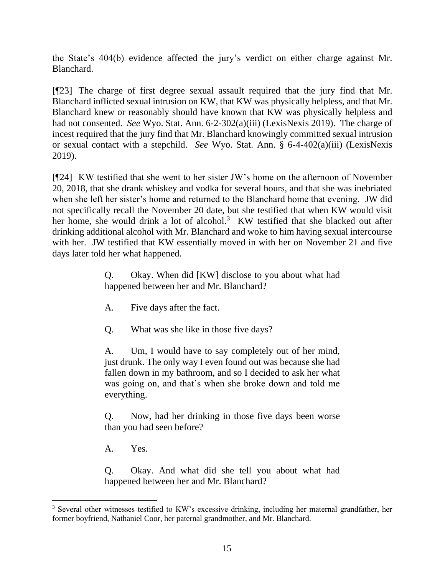the State's 404(b) evidence affected the jury's verdict on either charge against Mr. Blanchard.

[¶23] The charge of first degree sexual assault required that the jury find that Mr. Blanchard inflicted sexual intrusion on KW, that KW was physically helpless, and that Mr. Blanchard knew or reasonably should have known that KW was physically helpless and had not consented. *See* Wyo. Stat. Ann. 6-2-302(a)(iii) (LexisNexis 2019). The charge of incest required that the jury find that Mr. Blanchard knowingly committed sexual intrusion or sexual contact with a stepchild. *See* Wyo. Stat. Ann. § 6-4-402(a)(iii) (LexisNexis 2019).

[¶24] KW testified that she went to her sister JW's home on the afternoon of November 20, 2018, that she drank whiskey and vodka for several hours, and that she was inebriated when she left her sister's home and returned to the Blanchard home that evening. JW did not specifically recall the November 20 date, but she testified that when KW would visit her home, she would drink a lot of alcohol.<sup>3</sup> KW testified that she blacked out after drinking additional alcohol with Mr. Blanchard and woke to him having sexual intercourse with her. JW testified that KW essentially moved in with her on November 21 and five days later told her what happened.

> Q. Okay. When did [KW] disclose to you about what had happened between her and Mr. Blanchard?

- A. Five days after the fact.
- Q. What was she like in those five days?

A. Um, I would have to say completely out of her mind, just drunk. The only way I even found out was because she had fallen down in my bathroom, and so I decided to ask her what was going on, and that's when she broke down and told me everything.

Q. Now, had her drinking in those five days been worse than you had seen before?

A. Yes.

Q. Okay. And what did she tell you about what had happened between her and Mr. Blanchard?

<sup>3</sup> Several other witnesses testified to KW's excessive drinking, including her maternal grandfather, her former boyfriend, Nathaniel Coor, her paternal grandmother, and Mr. Blanchard.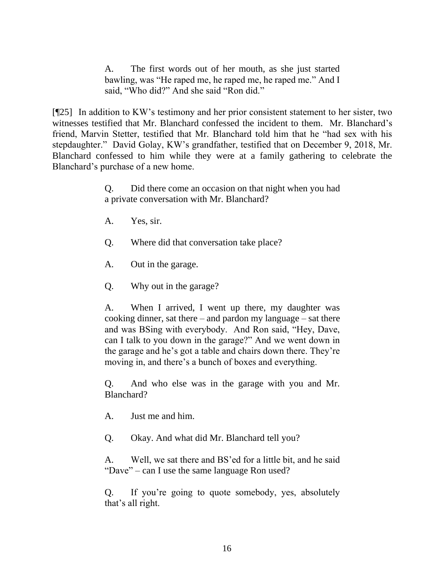A. The first words out of her mouth, as she just started bawling, was "He raped me, he raped me, he raped me." And I said, "Who did?" And she said "Ron did."

[¶25] In addition to KW's testimony and her prior consistent statement to her sister, two witnesses testified that Mr. Blanchard confessed the incident to them. Mr. Blanchard's friend, Marvin Stetter, testified that Mr. Blanchard told him that he "had sex with his stepdaughter." David Golay, KW's grandfather, testified that on December 9, 2018, Mr. Blanchard confessed to him while they were at a family gathering to celebrate the Blanchard's purchase of a new home.

> Q. Did there come an occasion on that night when you had a private conversation with Mr. Blanchard?

- A. Yes, sir.
- Q. Where did that conversation take place?
- A. Out in the garage.
- Q. Why out in the garage?

A. When I arrived, I went up there, my daughter was cooking dinner, sat there – and pardon my language – sat there and was BSing with everybody. And Ron said, "Hey, Dave, can I talk to you down in the garage?" And we went down in the garage and he's got a table and chairs down there. They're moving in, and there's a bunch of boxes and everything.

Q. And who else was in the garage with you and Mr. Blanchard?

A. Just me and him.

Q. Okay. And what did Mr. Blanchard tell you?

A. Well, we sat there and BS'ed for a little bit, and he said "Dave" – can I use the same language Ron used?

Q. If you're going to quote somebody, yes, absolutely that's all right.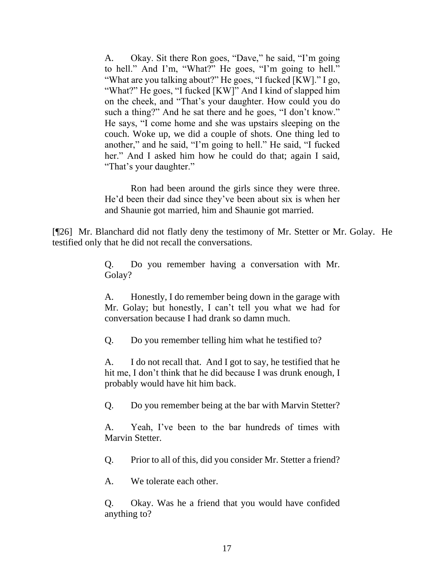A. Okay. Sit there Ron goes, "Dave," he said, "I'm going to hell." And I'm, "What?" He goes, "I'm going to hell." "What are you talking about?" He goes, "I fucked [KW]." I go, "What?" He goes, "I fucked [KW]" And I kind of slapped him on the cheek, and "That's your daughter. How could you do such a thing?" And he sat there and he goes, "I don't know." He says, "I come home and she was upstairs sleeping on the couch. Woke up, we did a couple of shots. One thing led to another," and he said, "I'm going to hell." He said, "I fucked her." And I asked him how he could do that; again I said, "That's your daughter."

Ron had been around the girls since they were three. He'd been their dad since they've been about six is when her and Shaunie got married, him and Shaunie got married.

[¶26] Mr. Blanchard did not flatly deny the testimony of Mr. Stetter or Mr. Golay. He testified only that he did not recall the conversations.

> Q. Do you remember having a conversation with Mr. Golay?

> A. Honestly, I do remember being down in the garage with Mr. Golay; but honestly, I can't tell you what we had for conversation because I had drank so damn much.

Q. Do you remember telling him what he testified to?

A. I do not recall that. And I got to say, he testified that he hit me, I don't think that he did because I was drunk enough, I probably would have hit him back.

Q. Do you remember being at the bar with Marvin Stetter?

A. Yeah, I've been to the bar hundreds of times with Marvin Stetter.

Q. Prior to all of this, did you consider Mr. Stetter a friend?

A. We tolerate each other.

Q. Okay. Was he a friend that you would have confided anything to?